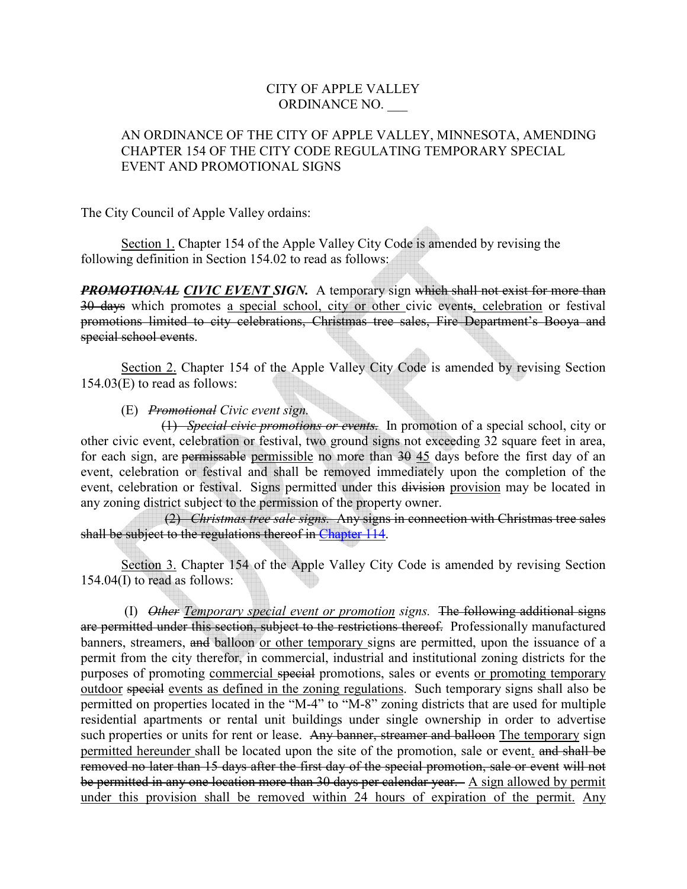## CITY OF APPLE VALLEY ORDINANCE NO. \_\_\_

## AN ORDINANCE OF THE CITY OF APPLE VALLEY, MINNESOTA, AMENDING CHAPTER 154 OF THE CITY CODE REGULATING TEMPORARY SPECIAL EVENT AND PROMOTIONAL SIGNS

The City Council of Apple Valley ordains:

 Section 1. Chapter 154 of the Apple Valley City Code is amended by revising the following definition in Section 154.02 to read as follows:

**PROMOTIONAL CIVIC EVENT SIGN.** A temporary sign which shall not exist for more than 30 days which promotes a special school, city or other civic events, celebration or festival promotions limited to city celebrations, Christmas tree sales, Fire Department's Booya and special school events.

Section 2. Chapter 154 of the Apple Valley City Code is amended by revising Section 154.03(E) to read as follows:

(E) *Promotional Civic event sign.*

(1) *Special civic promotions or events.* In promotion of a special school, city or other civic event, celebration or festival, two ground signs not exceeding 32 square feet in area, for each sign, are permissable permissible no more than 30 45 days before the first day of an event, celebration or festival and shall be removed immediately upon the completion of the event, celebration or festival. Signs permitted under this division provision may be located in any zoning district subject to the permission of the property owner.

 (2) *Christmas tree sale signs.* Any signs in connection with Christmas tree sales shall be subject to the regulations thereof in Chapter 114.

 Section 3. Chapter 154 of the Apple Valley City Code is amended by revising Section 154.04(I) to read as follows:

 (I) *Other Temporary special event or promotion signs.* The following additional signs are permitted under this section, subject to the restrictions thereof. Professionally manufactured banners, streamers, and balloon or other temporary signs are permitted, upon the issuance of a permit from the city therefor, in commercial, industrial and institutional zoning districts for the purposes of promoting commercial special promotions, sales or events or promoting temporary outdoor special events as defined in the zoning regulations. Such temporary signs shall also be permitted on properties located in the "M-4" to "M-8" zoning districts that are used for multiple residential apartments or rental unit buildings under single ownership in order to advertise such properties or units for rent or lease. Any banner, streamer and balloon The temporary sign permitted hereunder shall be located upon the site of the promotion, sale or event. and shall be removed no later than 15 days after the first day of the special promotion, sale or event will not be permitted in any one location more than 30 days per calendar year. A sign allowed by permit under this provision shall be removed within 24 hours of expiration of the permit. Any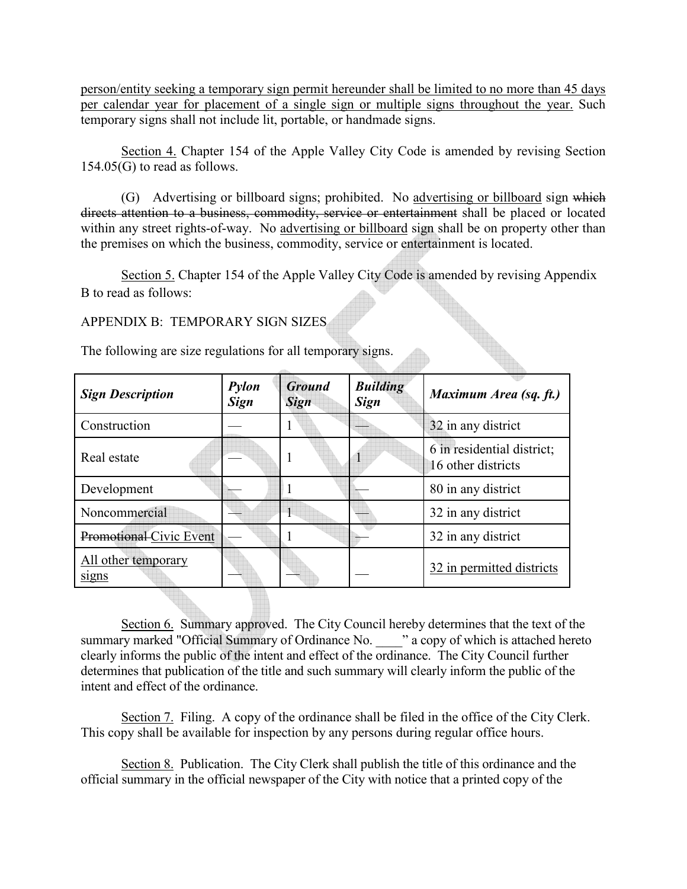person/entity seeking a temporary sign permit hereunder shall be limited to no more than 45 days per calendar year for placement of a single sign or multiple signs throughout the year. Such temporary signs shall not include lit, portable, or handmade signs.

Section 4. Chapter 154 of the Apple Valley City Code is amended by revising Section 154.05(G) to read as follows.

(G) Advertising or billboard signs; prohibited. No advertising or billboard sign which directs attention to a business, commodity, service or entertainment shall be placed or located within any street rights-of-way. No advertising or billboard sign shall be on property other than the premises on which the business, commodity, service or entertainment is located.

Section 5. Chapter 154 of the Apple Valley City Code is amended by revising Appendix B to read as follows:

APPENDIX B: TEMPORARY SIGN SIZES

The following are size regulations for all temporary signs.

| <b>Sign Description</b>      | Pylon<br><b>Sign</b> | Ground<br><b>Sign</b> | <b>Building</b><br><b>Sign</b> | Maximum Area (sq. ft.)                           |
|------------------------------|----------------------|-----------------------|--------------------------------|--------------------------------------------------|
| Construction                 |                      |                       |                                | 32 in any district                               |
| Real estate                  |                      |                       |                                | 6 in residential district;<br>16 other districts |
| Development                  |                      |                       |                                | 80 in any district                               |
| Noncommercial                |                      |                       |                                | 32 in any district                               |
| Promotional Civic Event      |                      |                       |                                | 32 in any district                               |
| All other temporary<br>signs |                      |                       |                                | 32 in permitted districts                        |

Section 6. Summary approved. The City Council hereby determines that the text of the summary marked "Official Summary of Ordinance No.  $\cdot$  " a copy of which is attached hereto clearly informs the public of the intent and effect of the ordinance. The City Council further determines that publication of the title and such summary will clearly inform the public of the intent and effect of the ordinance.

Section 7. Filing. A copy of the ordinance shall be filed in the office of the City Clerk. This copy shall be available for inspection by any persons during regular office hours.

Section 8. Publication. The City Clerk shall publish the title of this ordinance and the official summary in the official newspaper of the City with notice that a printed copy of the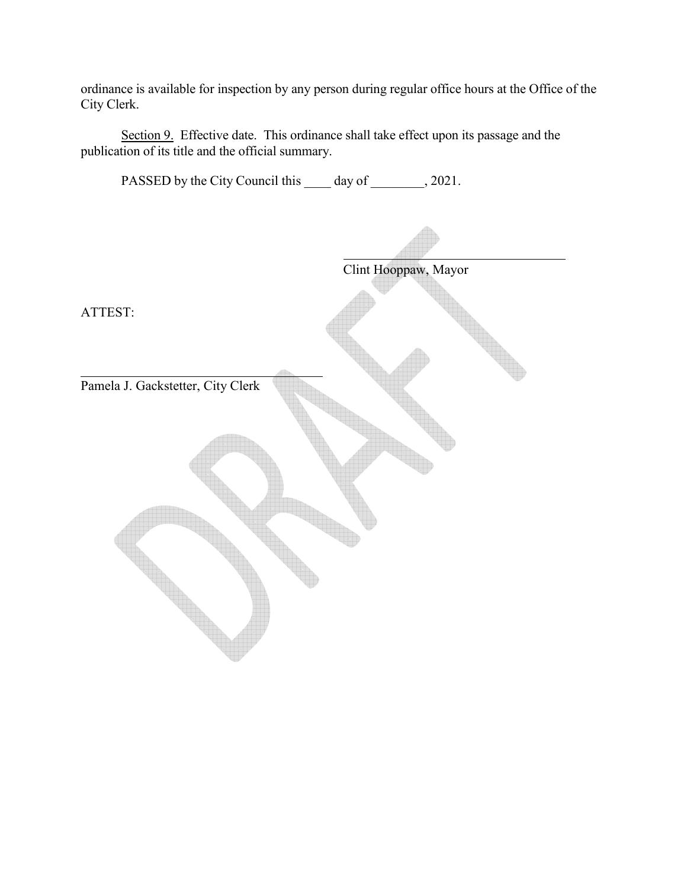ordinance is available for inspection by any person during regular office hours at the Office of the City Clerk.

Section 9. Effective date. This ordinance shall take effect upon its passage and the publication of its title and the official summary.

PASSED by the City Council this \_\_\_\_\_ day of \_\_\_\_\_\_\_, 2021. Clint Hooppaw, Mayor ATTEST: Pamela J. Gackstetter, City Clerk